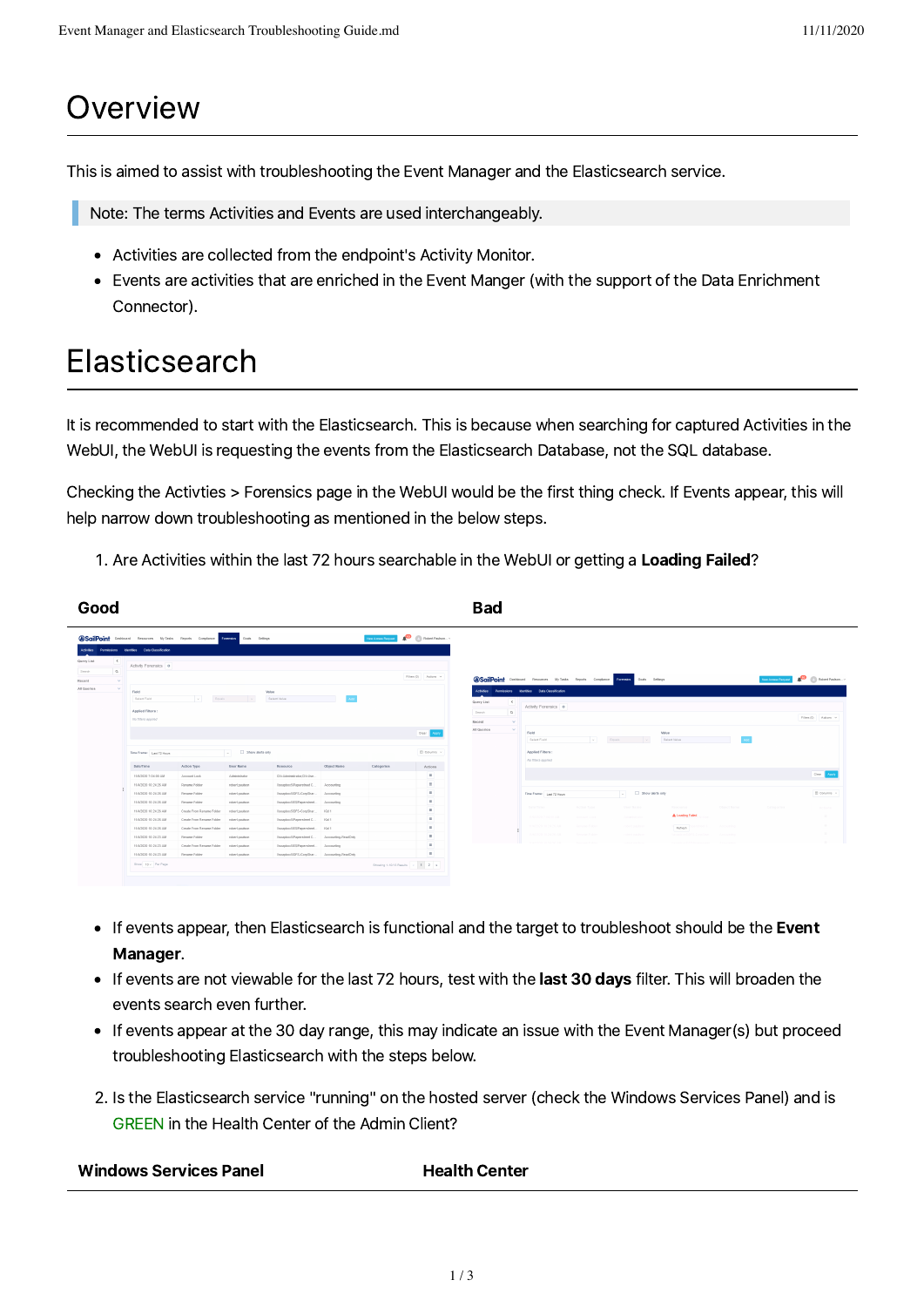## **Overview**

This is aimed to assist with troubleshooting the Event Manager and the Elasticsearch service.

Note: The terms Activities and Events are used interchangeably.

- Activities are collected from the endpoint's Activity Monitor.
- Events are activities that are enriched in the Event Manger (with the support of the Data Enrichment Connector).

# **Elasticsearch**

It is recommended to start with the Elasticsearch. This is because when searching for captured Activities in the WebUI, the WebUI is requesting the events from the Elasticsearch Database, not the SQL database.

Checking the Activties > Forensics page in the WebUI would be the first thing check. If Events appear, this will help narrow down troubleshooting as mentioned in the below steps.

1. Are Activities within the last 72 hours searchable in the WebUI or getting a Loading Failed?

| Good                                                                                                    |                                                                                                                                                   |                                                                                                                           |                                                                                                        |                                                                                                                                                                                             |                     |                                         |                                                                                                                                                                                                                                                                                                                                | Bad         |                                                                                                                     |                                             |                                                    |                                          |                |                                                               |                                   |  |
|---------------------------------------------------------------------------------------------------------|---------------------------------------------------------------------------------------------------------------------------------------------------|---------------------------------------------------------------------------------------------------------------------------|--------------------------------------------------------------------------------------------------------|---------------------------------------------------------------------------------------------------------------------------------------------------------------------------------------------|---------------------|-----------------------------------------|--------------------------------------------------------------------------------------------------------------------------------------------------------------------------------------------------------------------------------------------------------------------------------------------------------------------------------|-------------|---------------------------------------------------------------------------------------------------------------------|---------------------------------------------|----------------------------------------------------|------------------------------------------|----------------|---------------------------------------------------------------|-----------------------------------|--|
| $\left  \cdot \right $<br>Query List<br>$\alpha$<br>Search<br>$\sim$<br>Recent<br>All Queries<br>$\sim$ | Activities Permissions Identities Data-Classification<br>Activity Forensics o<br>Field<br>Select Field<br>Applied Filters:<br>No filters applied  | <b>@SailPoint</b> Dastroard Resources MyTasks Reports Compliance Enterprises Ocals Settings<br>$\sim$<br>Equals           | $\sim$                                                                                                 | <b>Value</b><br>Select Value                                                                                                                                                                |                     | New Account Request                     | $\bullet$ <b>D</b> Reteri Paulson. $\cdot$<br>Filtes (0) Actions v<br><b>@SailPoint</b> Distincted Resources MyTasks Reports Compliance Formation Goals Settings<br>Activities Permissions Identities Data-Classification<br>$\left($<br>Query List<br>Activity Forensics o<br>$\circ$<br>Search<br>Recent<br>$\sim$<br>$\sim$ |             |                                                                                                                     |                                             |                                                    |                                          |                | Rebert Paulson.<br>New Access Request<br>Filtes (0) Actions v |                                   |  |
|                                                                                                         | Jul 3 Show alerts only<br>Time Frame: Last T2 Hours<br>Date/Time<br>Action Type<br><b>User Name</b><br>Resource<br><b>Object Name</b>             |                                                                                                                           |                                                                                                        |                                                                                                                                                                                             |                     |                                         | Clear Apply<br>III Columns<br>Actions                                                                                                                                                                                                                                                                                          | All Queries | Value<br><b>Field</b><br>Gousla<br>Select Value<br>Select Field<br>$\sim$<br>Applied Filters:<br>No filters applied |                                             |                                                    |                                          |                |                                                               |                                   |  |
|                                                                                                         | 11/5/2020 7:04:00 AM<br>11/4/2020 10:24:25 AM<br>11/4/2020 10:24:26 AM<br>11/4/2020 10:24:25 AM<br>11/4/2020 10:24:25 AM<br>11/4/2020 10:24:26 AM | Account Lock<br>Rename Folder<br>Rename Folder<br>Rename Folder<br>Create From Rename Folder<br>Create From Reeame Folder | Administrator<br>robert paulsce.<br>robertpaulsen<br>robert paulson<br>robert paulsce<br>robertpaulsen | CN+Administrator CN+Use.<br>VacapbexSPaperstreet C<br>VasastexSOFS-CorpShar Accounting<br>VacasboxSESPaperstreet Accounting<br>VasapberSOFS-CorpShar Nd 1<br>Viseapbeis@Raperstreet C Kid 1 | Accounting          | Categories                              | m.<br>$\sim$<br>H.<br>a.<br>×.                                                                                                                                                                                                                                                                                                 |             | Time Prame: Leat 72 Hours<br>Date/Time<br>19820207.04:11.228                                                        | Action Type<br>Account Lock                 | . C Show alerts only<br>User Name<br>Administrator | Resource<br>A Loading Failed             | Object Name    | Categories                                                    | Clear  <br>ID Columns<br>Articons |  |
|                                                                                                         | 11/4/2020 10:24:26 AM<br>11/4/2020 10:24:23 AM<br>11/4/2020 10:24:23 AM<br>11/4/2020 10:24:23 AM<br>Show 10 - Per Page                            | Create From Rename Folder<br>Rename Folder<br>Create From Rename Folder<br>Rename Folder                                  | robert paulson<br>robert paulson<br>robertpaulson<br>robertpaulsen                                     | VasapbexSIES/Paperstreet Kid 1<br>VissapboxSiPaperstreet C<br>VasaphoxSES/Paperstreet Accounting<br>ViseapbexSIDFS-CorpShar Accounting-ReadOnly                                             | Accounting-ReadOnly | Showing 1-10/13 Results   c   1   2   a | H.<br>in 1<br>-<br>i a i<br>m.                                                                                                                                                                                                                                                                                                 |             | EA/DOOR 10                                                                                                          | <b>Tename Folde</b><br><b>Jessine Folde</b> | robert.o.u.doon<br>robert coulean                  | Refresh<br><b><i><u>Gaashees</u></i></b> | <b>Looking</b> |                                                               | $=$<br>$\sim$                     |  |

- If events appear, then Elasticsearch is functional and the target to troubleshoot should be the Event Manager.
- If events are not viewable for the last 72 hours, test with the last 30 days filter. This will broaden the events search even further.
- If events appear at the 30 day range, this may indicate an issue with the Event Manager(s) but proceed troubleshooting Elasticsearch with the steps below.
- . Is the Elasticsearch service "running" on the hosted server (check the Windows Services Panel) and is GREEN in the Health Center of the Admin Client?

| <b>Windows Services Panel</b> | <b>Health Center</b> |
|-------------------------------|----------------------|
|-------------------------------|----------------------|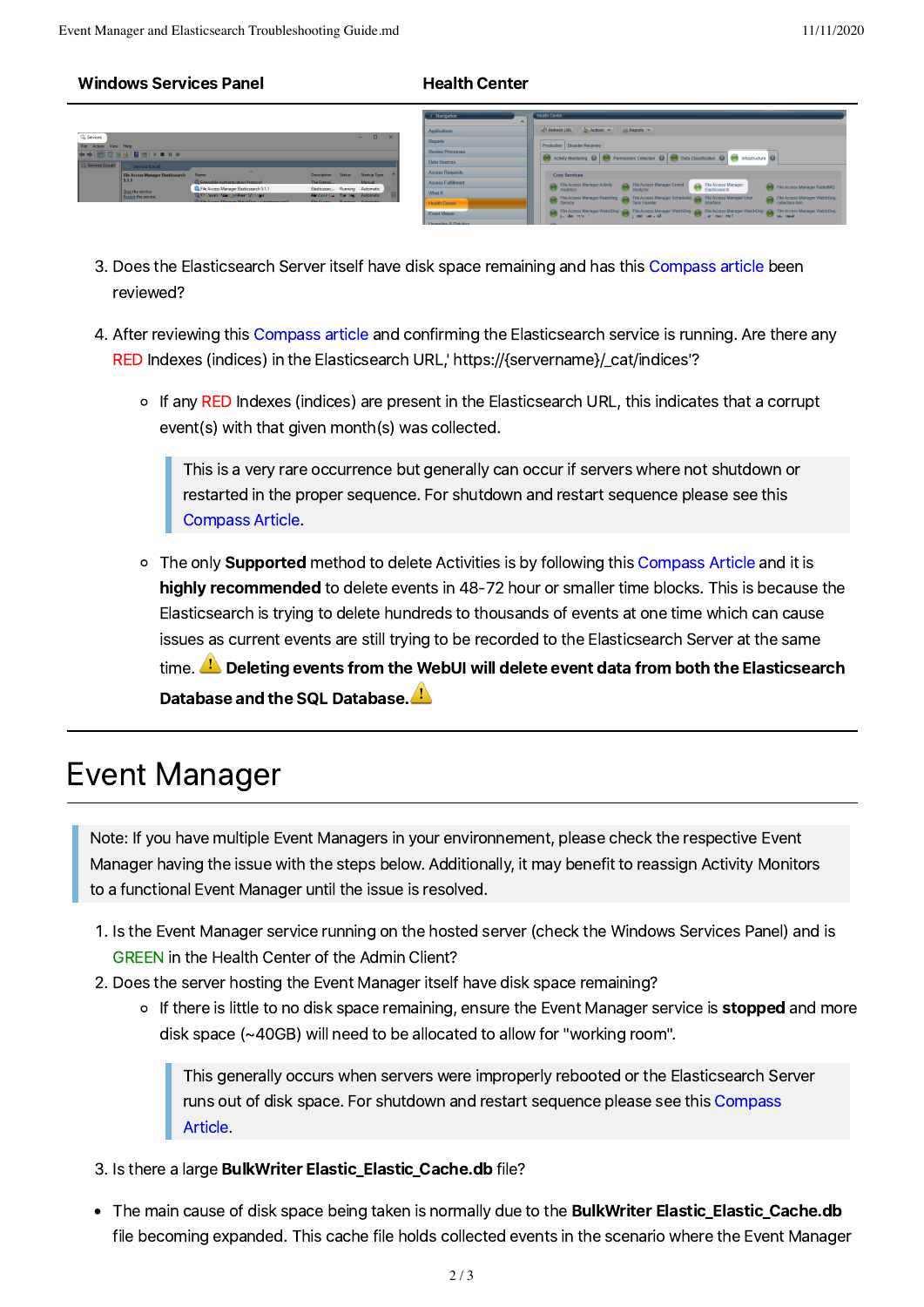### Windows Services Panel **Health Center**



- 3. Does the Elasticsearch Server itself have disk space remaining and has this [Compass](https://community.sailpoint.com/t5/IdentityIQ-Wiki/Elasticsearch-DB-Full-or-Almost-There/ta-p/75676) article been reviewed?
- 4. After reviewing this [Compass](https://community.sailpoint.com/t5/IdentityIQ-Wiki/Elasticsearch-DB-Full-or-Almost-There/ta-p/75676) article and confirming the Elasticsearch service is running. Are there any RED Indexes (indices) in the Elasticsearch URL,' https://{servername}/\_cat/indices'?
	- o If any RED Indexes (indices) are present in the Elasticsearch URL, this indicates that a corrupt event(s) with that given month(s) was collected.

This is a very rare occurrence but generally can occurif servers where not shutdown or restarted in the proper sequence. For shutdown and restart sequence please see this [Compass](https://community.sailpoint.com/t5/Documents/Stopping-and-Starting-Services-in-File-Access-Manager/ta-p/142075) Article.

o The only **Supported** method to delete Activities is by following this [Compass](https://community.sailpoint.com/t5/Documents/Pruning-Activities-from-File-Access-Manager/ta-p/142013) Article and it is highly recommended to delete events in 48-72 hour or smaller time blocks. This is because the Elasticsearch is trying to delete hundreds to thousands of events at one time which can cause issues as current events are still trying to be recorded to the Elasticsearch Server at the same time.  $\Box$  Deleting events from the WebUI will delete event data from both the Elasticsearch Database and the SQL Database.

### Event Manager

Note: If you have multiple Event Managers in your environnement, please check the respective Event Manager having the issue with the steps below. Additionally, it may benefit to reassign Activity Monitors to a functional Event Manager until the issue is resolved.

- . Is the Event Manager service running on the hosted server (check the Windows Services Panel) and is GREEN in the Health Center of the Admin Client?
- 2. Does the server hosting the Event Manager itself have disk space remaining?
	- o If there is little to no disk space remaining, ensure the Event Manager service is stopped and more disk space (~40GB) will need to be allocated to allow for "working room".

This generally occurs when servers were improperly rebooted orthe Elasticsearch Server runs out of disk space. For [shutdown](https://community.sailpoint.com/t5/Documents/Stopping-and-Starting-Services-in-File-Access-Manager/ta-p/142075) and restart sequence please see this Compass Article.

- . Is there a large BulkWriter Elastic\_Elastic\_Cache.db file?
- The main cause of disk space being taken is normally due to the **BulkWriter Elastic\_Elastic\_Cache.db** file becoming expanded. This cache file holds collected events in the scenario where the Event Manager